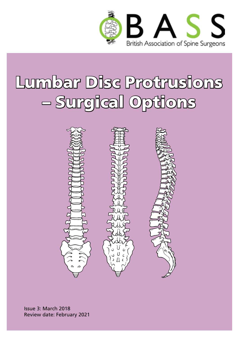

# Lumbar Disc Protrusions – Surgical Options



Issue 3: March 2018 Review date: February 2021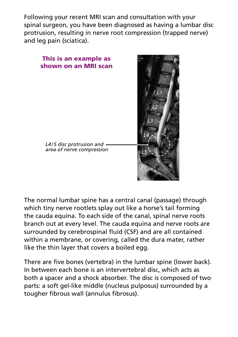Following your recent MRI scan and consultation with your spinal surgeon, you have been diagnosed as having a lumbar disc protrusion, resulting in nerve root compression (trapped nerve) and leg pain (sciatica).



The normal lumbar spine has a central canal (passage) through which tiny nerve rootlets splay out like a horse's tail forming the cauda equina. To each side of the canal, spinal nerve roots branch out at every level. The cauda equina and nerve roots are surrounded by cerebrospinal fluid (CSF) and are all contained within a membrane, or covering, called the dura mater, rather like the thin layer that covers a boiled egg.

There are five bones (vertebra) in the lumbar spine (lower back). In between each bone is an intervertebral disc, which acts as both a spacer and a shock absorber. The disc is composed of two parts: a soft gel-like middle (nucleus pulposus) surrounded by a tougher fibrous wall (annulus fibrosus).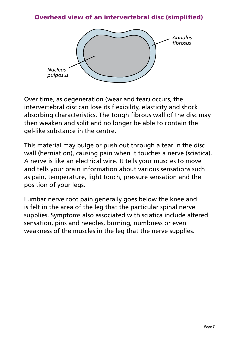#### Overhead view of an intervertebral disc (simplified)



Over time, as degeneration (wear and tear) occurs, the intervertebral disc can lose its flexibility, elasticity and shock absorbing characteristics. The tough fibrous wall of the disc may then weaken and split and no longer be able to contain the gel-like substance in the centre.

This material may bulge or push out through a tear in the disc wall (herniation), causing pain when it touches a nerve (sciatica). A nerve is like an electrical wire. It tells your muscles to move and tells your brain information about various sensations such as pain, temperature, light touch, pressure sensation and the position of your legs.

Lumbar nerve root pain generally goes below the knee and is felt in the area of the leg that the particular spinal nerve supplies. Symptoms also associated with sciatica include altered sensation, pins and needles, burning, numbness or even weakness of the muscles in the leg that the nerve supplies.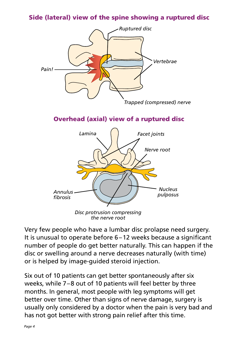#### Side (lateral) view of the spine showing a ruptured disc



Overhead (axial) view of a ruptured disc



*the nerve root*

Very few people who have a lumbar disc prolapse need surgery. It is unusual to operate before 6–12 weeks because a significant number of people do get better naturally. This can happen if the disc or swelling around a nerve decreases naturally (with time) or is helped by image-guided steroid injection.

Six out of 10 patients can get better spontaneously after six weeks, while 7–8 out of 10 patients will feel better by three months. In general, most people with leg symptoms will get better over time. Other than signs of nerve damage, surgery is usually only considered by a doctor when the pain is very bad and has not got better with strong pain relief after this time.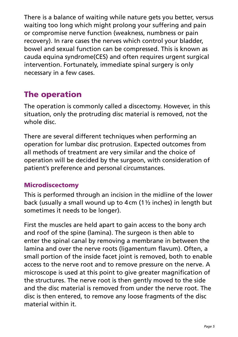There is a balance of waiting while nature gets you better, versus waiting too long which might prolong your suffering and pain or compromise nerve function (weakness, numbness or pain recovery). In rare cases the nerves which control your bladder, bowel and sexual function can be compressed. This is known as cauda equina syndrome(CES) and often requires urgent surgical intervention. Fortunately, immediate spinal surgery is only necessary in a few cases.

## The operation

The operation is commonly called a discectomy. However, in this situation, only the protruding disc material is removed, not the whole disc.

There are several different techniques when performing an operation for lumbar disc protrusion. Expected outcomes from all methods of treatment are very similar and the choice of operation will be decided by the surgeon, with consideration of patient's preference and personal circumstances.

#### Microdiscectomy

This is performed through an incision in the midline of the lower back (usually a small wound up to 4cm (1½ inches) in length but sometimes it needs to be longer).

First the muscles are held apart to gain access to the bony arch and roof of the spine (lamina). The surgeon is then able to enter the spinal canal by removing a membrane in between the lamina and over the nerve roots (ligamentum flavum). Often, a small portion of the inside facet joint is removed, both to enable access to the nerve root and to remove pressure on the nerve. A microscope is used at this point to give greater magnification of the structures. The nerve root is then gently moved to the side and the disc material is removed from under the nerve root. The disc is then entered, to remove any loose fragments of the disc material within it.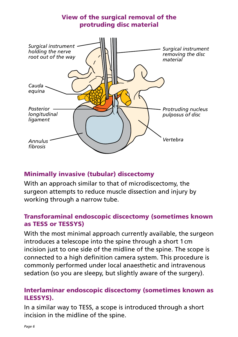

#### Minimally invasive (tubular) discectomy

With an approach similar to that of microdiscectomy, the surgeon attempts to reduce muscle dissection and injury by working through a narrow tube.

#### Transforaminal endoscopic discectomy (sometimes known as TESS or TESSYS)

With the most minimal approach currently available, the surgeon introduces a telescope into the spine through a short 1cm incision just to one side of the midline of the spine. The scope is connected to a high definition camera system. This procedure is commonly performed under local anaesthetic and intravenous sedation (so you are sleepy, but slightly aware of the surgery).

#### Interlaminar endoscopic discectomy (sometimes known as ILESSYS).

In a similar way to TESS, a scope is introduced through a short incision in the midline of the spine.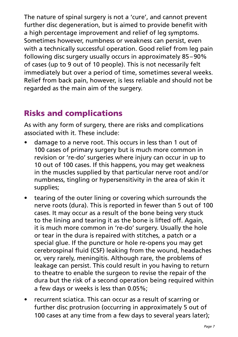The nature of spinal surgery is not a 'cure', and cannot prevent further disc degeneration, but is aimed to provide benefit with a high percentage improvement and relief of leg symptoms. Sometimes however, numbness or weakness can persist, even with a technically successful operation. Good relief from leg pain following disc surgery usually occurs in approximately 85–90% of cases (up to 9 out of 10 people). This is not necessarily felt immediately but over a period of time, sometimes several weeks. Relief from back pain, however, is less reliable and should not be regarded as the main aim of the surgery.

# Risks and complications

As with any form of surgery, there are risks and complications associated with it. These include:

- damage to a nerve root. This occurs in less than 1 out of 100 cases of primary surgery but is much more common in revision or 're-do' surgeries where injury can occur in up to 10 out of 100 cases. If this happens, you may get weakness in the muscles supplied by that particular nerve root and/or numbness, tingling or hypersensitivity in the area of skin it supplies;
- tearing of the outer lining or covering which surrounds the nerve roots (dura). This is reported in fewer than 5 out of 100 cases. It may occur as a result of the bone being very stuck to the lining and tearing it as the bone is lifted off. Again, it is much more common in 're-do' surgery. Usually the hole or tear in the dura is repaired with stitches, a patch or a special glue. If the puncture or hole re-opens you may get cerebrospinal fluid (CSF) leaking from the wound, headaches or, very rarely, meningitis. Although rare, the problems of leakage can persist. This could result in you having to return to theatre to enable the surgeon to revise the repair of the dura but the risk of a second operation being required within a few days or weeks is less than 0.05%;
- recurrent sciatica. This can occur as a result of scarring or further disc protrusion (occurring in approximately 5 out of 100 cases at any time from a few days to several years later);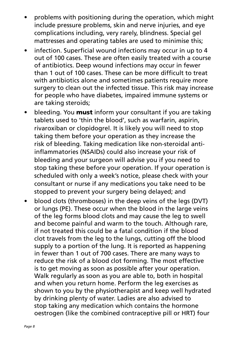- problems with positioning during the operation, which might include pressure problems, skin and nerve injuries, and eye complications including, very rarely, blindness. Special gel mattresses and operating tables are used to minimise this;
- infection. Superficial wound infections may occur in up to 4 out of 100 cases. These are often easily treated with a course of antibiotics. Deep wound infections may occur in fewer than 1 out of 100 cases. These can be more difficult to treat with antibiotics alone and sometimes patients require more surgery to clean out the infected tissue. This risk may increase for people who have diabetes, impaired immune systems or are taking steroids;
- bleeding. You **must** inform your consultant if you are taking tablets used to 'thin the blood', such as warfarin, aspirin, rivaroxiban or clopidogrel. It is likely you will need to stop taking them before your operation as they increase the risk of bleeding. Taking medication like non-steroidal antiinflammatories (NSAIDs) could also increase your risk of bleeding and your surgeon will advise you if you need to stop taking these before your operation. If your operation is scheduled with only a week's notice, please check with your consultant or nurse if any medications you take need to be stopped to prevent your surgery being delayed; and
- blood clots (thromboses) in the deep veins of the legs (DVT) or lungs (PE). These occur when the blood in the large veins of the leg forms blood clots and may cause the leg to swell and become painful and warm to the touch. Although rare, if not treated this could be a fatal condition if the blood clot travels from the leg to the lungs, cutting off the blood supply to a portion of the lung. It is reported as happening in fewer than 1 out of 700 cases. There are many ways to reduce the risk of a blood clot forming. The most effective is to get moving as soon as possible after your operation. Walk regularly as soon as you are able to, both in hospital and when you return home. Perform the leg exercises as shown to you by the physiotherapist and keep well hydrated by drinking plenty of water. Ladies are also advised to stop taking any medication which contains the hormone oestrogen (like the combined contraceptive pill or HRT) four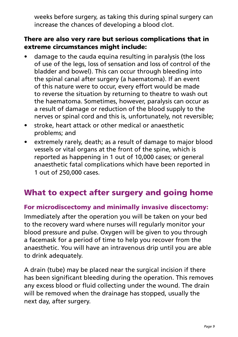weeks before surgery, as taking this during spinal surgery can increase the chances of developing a blood clot.

#### There are also very rare but serious complications that in extreme circumstances might include:

- damage to the cauda equina resulting in paralysis (the loss of use of the legs, loss of sensation and loss of control of the bladder and bowel). This can occur through bleeding into the spinal canal after surgery (a haematoma). If an event of this nature were to occur, every effort would be made to reverse the situation by returning to theatre to wash out the haematoma. Sometimes, however, paralysis can occur as a result of damage or reduction of the blood supply to the nerves or spinal cord and this is, unfortunately, not reversible;
- • stroke, heart attack or other medical or anaesthetic problems; and
- extremely rarely, death; as a result of damage to major blood vessels or vital organs at the front of the spine, which is reported as happening in 1 out of 10,000 cases; or general anaesthetic fatal complications which have been reported in 1 out of 250,000 cases.

## What to expect after surgery and going home

#### For microdiscectomy and minimally invasive discectomy:

Immediately after the operation you will be taken on your bed to the recovery ward where nurses will regularly monitor your blood pressure and pulse. Oxygen will be given to you through a facemask for a period of time to help you recover from the anaesthetic. You will have an intravenous drip until you are able to drink adequately.

A drain (tube) may be placed near the surgical incision if there has been significant bleeding during the operation. This removes any excess blood or fluid collecting under the wound. The drain will be removed when the drainage has stopped, usually the next day, after surgery.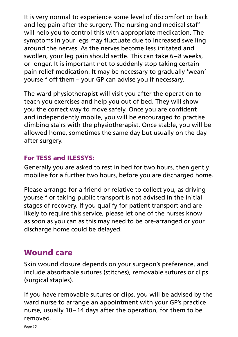It is very normal to experience some level of discomfort or back and leg pain after the surgery. The nursing and medical staff will help you to control this with appropriate medication. The symptoms in your legs may fluctuate due to increased swelling around the nerves. As the nerves become less irritated and swollen, your leg pain should settle. This can take 6–8 weeks, or longer. It is important not to suddenly stop taking certain pain relief medication. It may be necessary to gradually 'wean' yourself off them – your GP can advise you if necessary.

The ward physiotherapist will visit you after the operation to teach you exercises and help you out of bed. They will show you the correct way to move safely. Once you are confident and independently mobile, you will be encouraged to practise climbing stairs with the physiotherapist. Once stable, you will be allowed home, sometimes the same day but usually on the day after surgery.

### For TESS and ILESSYS:

Generally you are asked to rest in bed for two hours, then gently mobilise for a further two hours, before you are discharged home.

Please arrange for a friend or relative to collect you, as driving yourself or taking public transport is not advised in the initial stages of recovery. If you qualify for patient transport and are likely to require this service, please let one of the nurses know as soon as you can as this may need to be pre-arranged or your discharge home could be delayed.

# Wound care

Skin wound closure depends on your surgeon's preference, and include absorbable sutures (stitches), removable sutures or clips (surgical staples).

If you have removable sutures or clips, you will be advised by the ward nurse to arrange an appointment with your GP's practice nurse, usually 10–14 days after the operation, for them to be removed.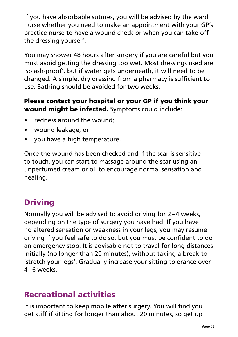If you have absorbable sutures, you will be advised by the ward nurse whether you need to make an appointment with your GP's practice nurse to have a wound check or when you can take off the dressing yourself.

You may shower 48 hours after surgery if you are careful but you must avoid getting the dressing too wet. Most dressings used are 'splash-proof', but if water gets underneath, it will need to be changed. A simple, dry dressing from a pharmacy is sufficient to use. Bathing should be avoided for two weeks.

#### Please contact your hospital or your GP if you think your wound might be infected. Symptoms could include:

- redness around the wound:
- wound leakage; or
- you have a high temperature.

Once the wound has been checked and if the scar is sensitive to touch, you can start to massage around the scar using an unperfumed cream or oil to encourage normal sensation and healing.

## Driving

Normally you will be advised to avoid driving for 2–4 weeks, depending on the type of surgery you have had. If you have no altered sensation or weakness in your legs, you may resume driving if you feel safe to do so, but you must be confident to do an emergency stop. It is advisable not to travel for long distances initially (no longer than 20 minutes), without taking a break to 'stretch your legs'. Gradually increase your sitting tolerance over 4–6 weeks.

## Recreational activities

It is important to keep mobile after surgery. You will find you get stiff if sitting for longer than about 20 minutes, so get up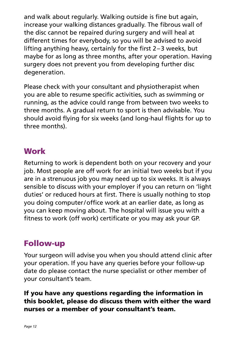and walk about regularly. Walking outside is fine but again, increase your walking distances gradually. The fibrous wall of the disc cannot be repaired during surgery and will heal at different times for everybody, so you will be advised to avoid lifting anything heavy, certainly for the first 2–3 weeks, but maybe for as long as three months, after your operation. Having surgery does not prevent you from developing further disc degeneration.

Please check with your consultant and physiotherapist when you are able to resume specific activities, such as swimming or running, as the advice could range from between two weeks to three months. A gradual return to sport is then advisable. You should avoid flying for six weeks (and long-haul flights for up to three months).

## **Work**

Returning to work is dependent both on your recovery and your job. Most people are off work for an initial two weeks but if you are in a strenuous job you may need up to six weeks. It is always sensible to discuss with your employer if you can return on 'light duties' or reduced hours at first. There is usually nothing to stop you doing computer/office work at an earlier date, as long as you can keep moving about. The hospital will issue you with a fitness to work (off work) certificate or you may ask your GP.

## Follow-up

Your surgeon will advise you when you should attend clinic after your operation. If you have any queries before your follow-up date do please contact the nurse specialist or other member of your consultant's team.

#### If you have any questions regarding the information in this booklet, please do discuss them with either the ward nurses or a member of your consultant's team.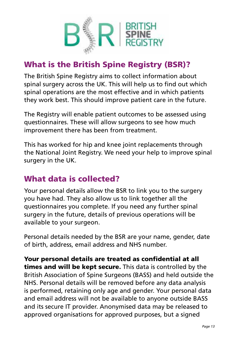

# What is the British Spine Registry (BSR)?

The British Spine Registry aims to collect information about spinal surgery across the UK. This will help us to find out which spinal operations are the most effective and in which patients they work best. This should improve patient care in the future.

The Registry will enable patient outcomes to be assessed using questionnaires. These will allow surgeons to see how much improvement there has been from treatment.

This has worked for hip and knee joint replacements through the National Joint Registry. We need your help to improve spinal surgery in the UK.

## What data is collected?

Your personal details allow the BSR to link you to the surgery you have had. They also allow us to link together all the questionnaires you complete. If you need any further spinal surgery in the future, details of previous operations will be available to your surgeon.

Personal details needed by the BSR are your name, gender, date of birth, address, email address and NHS number.

Your personal details are treated as confidential at all times and will be kept secure. This data is controlled by the British Association of Spine Surgeons (BASS) and held outside the NHS. Personal details will be removed before any data analysis is performed, retaining only age and gender. Your personal data and email address will not be available to anyone outside BASS and its secure IT provider. Anonymised data may be released to approved organisations for approved purposes, but a signed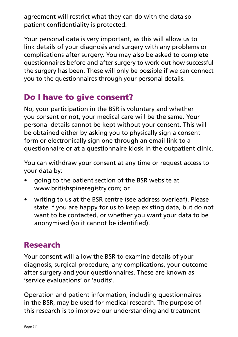agreement will restrict what they can do with the data so patient confidentiality is protected.

Your personal data is very important, as this will allow us to link details of your diagnosis and surgery with any problems or complications after surgery. You may also be asked to complete questionnaires before and after surgery to work out how successful the surgery has been. These will only be possible if we can connect you to the questionnaires through your personal details.

# Do I have to give consent?

No, your participation in the BSR is voluntary and whether you consent or not, your medical care will be the same. Your personal details cannot be kept without your consent. This will be obtained either by asking you to physically sign a consent form or electronically sign one through an email link to a questionnaire or at a questionnaire kiosk in the outpatient clinic.

You can withdraw your consent at any time or request access to your data by:

- going to the patient section of the BSR website at www.britishspineregistry.com; or
- writing to us at the BSR centre (see address overleaf). Please state if you are happy for us to keep existing data, but do not want to be contacted, or whether you want your data to be anonymised (so it cannot be identified).

# Research

Your consent will allow the BSR to examine details of your diagnosis, surgical procedure, any complications, your outcome after surgery and your questionnaires. These are known as 'service evaluations' or 'audits'.

Operation and patient information, including questionnaires in the BSR, may be used for medical research. The purpose of this research is to improve our understanding and treatment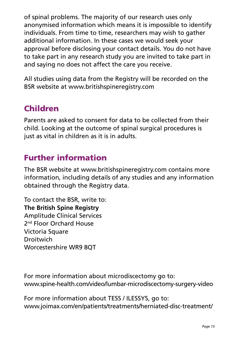of spinal problems. The majority of our research uses only anonymised information which means it is impossible to identify individuals. From time to time, researchers may wish to gather additional information. In these cases we would seek your approval before disclosing your contact details. You do not have to take part in any research study you are invited to take part in and saying no does not affect the care you receive.

All studies using data from the Registry will be recorded on the BSR website at www.britishspineregistry.com

## Children

Parents are asked to consent for data to be collected from their child. Looking at the outcome of spinal surgical procedures is just as vital in children as it is in adults.

## Further information

The BSR website at www.britishspineregistry.com contains more information, including details of any studies and any information obtained through the Registry data.

To contact the BSR, write to: **The British Spine Registry** Amplitude Clinical Services 2<sup>nd</sup> Floor Orchard House Victoria Square **Droitwich** Worcestershire WR9 8QT

For more information about microdiscectomy go to: www.spine-health.com/video/lumbar-microdiscectomy-surgery-video

For more information about TESS / ILESSYS, go to: www.joimax.com/en/patients/treatments/herniated-disc-treatment/